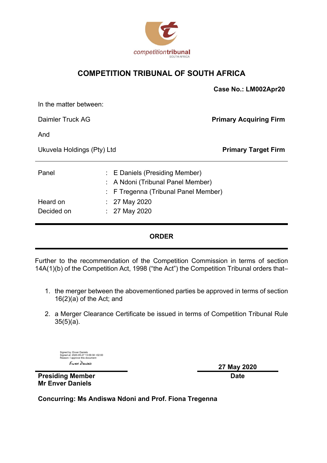

### **COMPETITION TRIBUNAL OF SOUTH AFRICA**

|                            |  |                                                                                                         | Case No.: LM002Apr20          |
|----------------------------|--|---------------------------------------------------------------------------------------------------------|-------------------------------|
| In the matter between:     |  |                                                                                                         |                               |
| Daimler Truck AG           |  |                                                                                                         | <b>Primary Acquiring Firm</b> |
| And                        |  |                                                                                                         |                               |
| Ukuvela Holdings (Pty) Ltd |  |                                                                                                         | <b>Primary Target Firm</b>    |
| Panel                      |  | : E Daniels (Presiding Member)<br>A Ndoni (Tribunal Panel Member)<br>F Tregenna (Tribunal Panel Member) |                               |
| Heard on<br>Decided on     |  | $: 27$ May 2020<br>27 May 2020                                                                          |                               |

#### **ORDER**

Further to the recommendation of the Competition Commission in terms of section 14A(1)(b) of the Competition Act, 1998 ("the Act") the Competition Tribunal orders that–

- 1. the merger between the abovementioned parties be approved in terms of section 16(2)(a) of the Act; and
- 2. a Merger Clearance Certificate be issued in terms of Competition Tribunal Rule  $35(5)(a)$ .

Signed by: Enver Daniels Signed at: 2020-05-27 13:09:38 +02:00

**27 May 2020**

**Presiding Member Mr Enver Daniels**

**Date**

*End Daries*<br>
Presiding Member<br>
Mr Enver Daniels<br>
Concurring: Ms Andiswa Ndoni and Prof. Fiona Tregenna